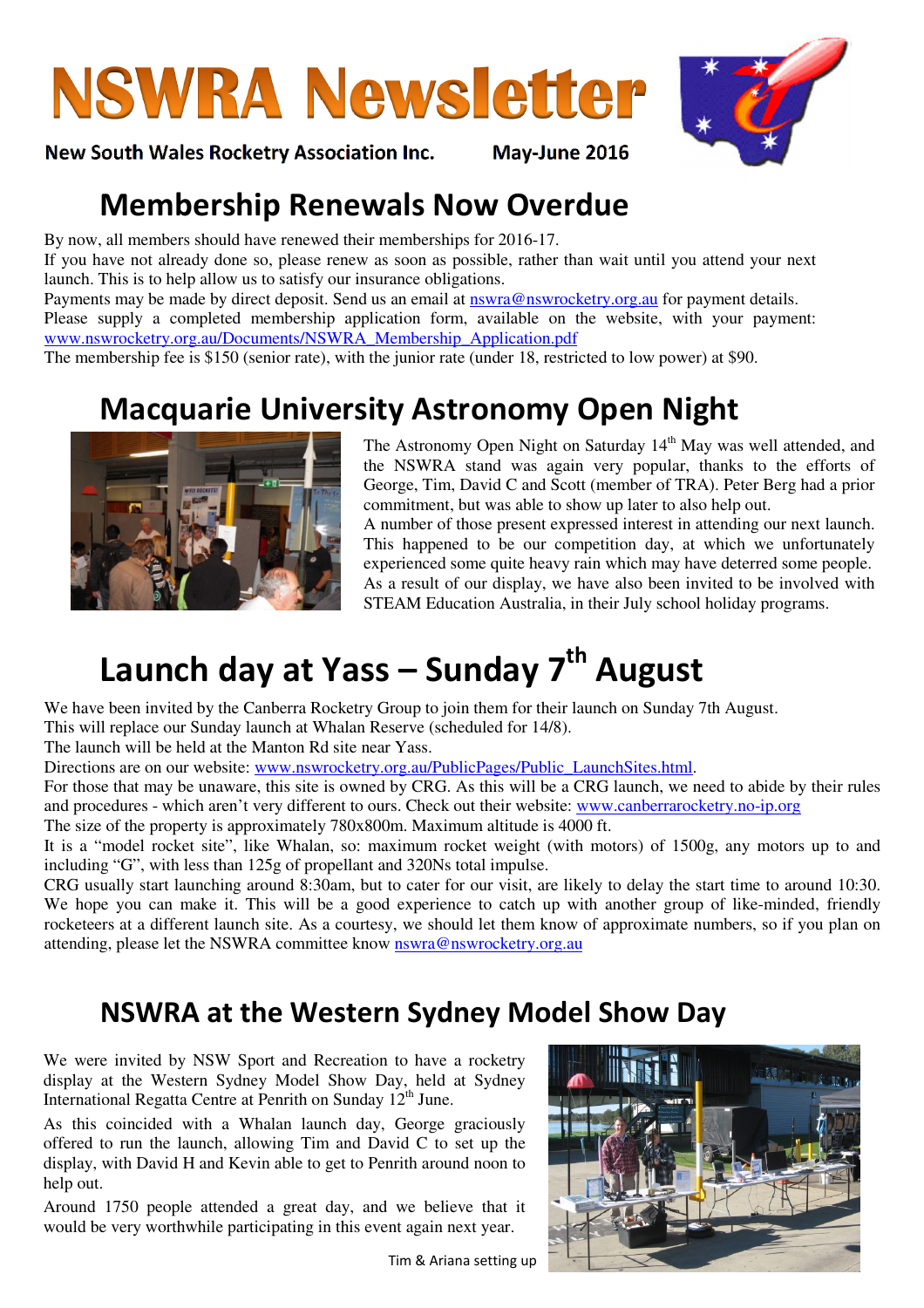# **NSWRA Newsletter**

New South Wales Rocketry Association Inc. May-June 2016

### Membership Renewals Now Overdue

By now, all members should have renewed their memberships for 2016-17.

If you have not already done so, please renew as soon as possible, rather than wait until you attend your next launch. This is to help allow us to satisfy our insurance obligations.

Payments may be made by direct deposit. Send us an email at nswra@nswrocketry.org.au for payment details. Please supply a completed membership application form, available on the website, with your payment: www.nswrocketry.org.au/Documents/NSWRA\_Membership\_Application.pdf

The membership fee is \$150 (senior rate), with the junior rate (under 18, restricted to low power) at \$90.

## Macquarie University Astronomy Open Night



The Astronomy Open Night on Saturday 14<sup>th</sup> May was well attended, and the NSWRA stand was again very popular, thanks to the efforts of George, Tim, David C and Scott (member of TRA). Peter Berg had a prior commitment, but was able to show up later to also help out.

A number of those present expressed interest in attending our next launch. This happened to be our competition day, at which we unfortunately experienced some quite heavy rain which may have deterred some people. As a result of our display, we have also been invited to be involved with STEAM Education Australia, in their July school holiday programs.

# Launch day at Yass - Sunday 7<sup>th</sup> August

We have been invited by the Canberra Rocketry Group to join them for their launch on Sunday 7th August.

This will replace our Sunday launch at Whalan Reserve (scheduled for 14/8).

The launch will be held at the Manton Rd site near Yass.

Directions are on our website: www.nswrocketry.org.au/PublicPages/Public LaunchSites.html.

For those that may be unaware, this site is owned by CRG. As this will be a CRG launch, we need to abide by their rules and procedures - which aren't very different to ours. Check out their website: www.canberrarocketry.no-ip.org

The size of the property is approximately 780x800m. Maximum altitude is 4000 ft.

It is a "model rocket site", like Whalan, so: maximum rocket weight (with motors) of 1500g, any motors up to and including "G", with less than 125g of propellant and 320Ns total impulse.

CRG usually start launching around 8:30am, but to cater for our visit, are likely to delay the start time to around 10:30. We hope you can make it. This will be a good experience to catch up with another group of like-minded, friendly rocketeers at a different launch site. As a courtesy, we should let them know of approximate numbers, so if you plan on attending, please let the NSWRA committee know nswra@nswrocketry.org.au

### NSWRA at the Western Sydney Model Show Day

We were invited by NSW Sport and Recreation to have a rocketry display at the Western Sydney Model Show Day, held at Sydney International Regatta Centre at Penrith on Sunday  $12<sup>th</sup>$  June.

As this coincided with a Whalan launch day, George graciously offered to run the launch, allowing Tim and David C to set up the display, with David H and Kevin able to get to Penrith around noon to help out.

Around 1750 people attended a great day, and we believe that it would be very worthwhile participating in this event again next year.

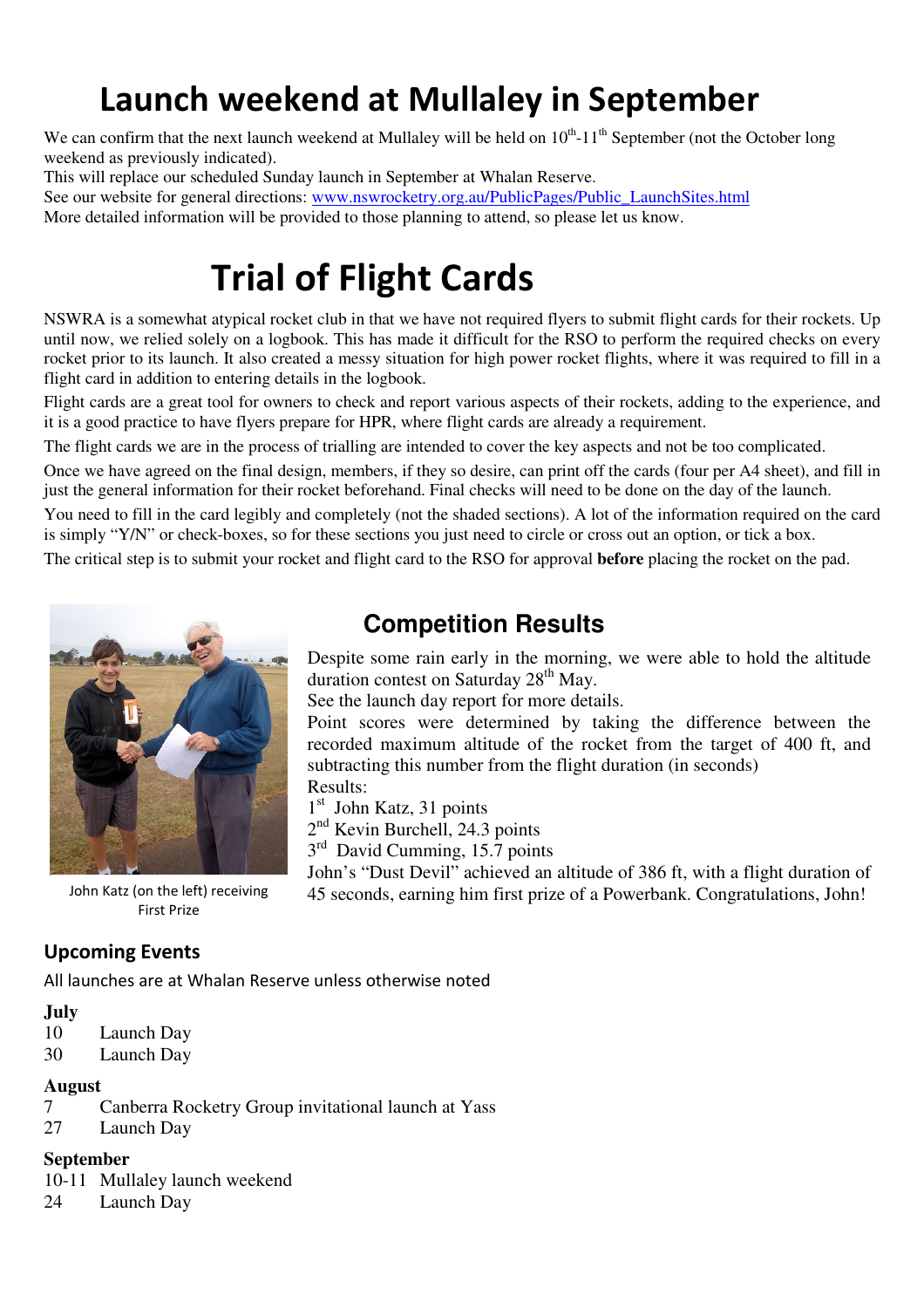# Launch weekend at Mullaley in September

We can confirm that the next launch weekend at Mullaley will be held on  $10^{th}$ -11<sup>th</sup> September (not the October long weekend as previously indicated).

This will replace our scheduled Sunday launch in September at Whalan Reserve.

See our website for general directions: www.nswrocketry.org.au/PublicPages/Public\_LaunchSites.html More detailed information will be provided to those planning to attend, so please let us know.

# Trial of Flight Cards

NSWRA is a somewhat atypical rocket club in that we have not required flyers to submit flight cards for their rockets. Up until now, we relied solely on a logbook. This has made it difficult for the RSO to perform the required checks on every rocket prior to its launch. It also created a messy situation for high power rocket flights, where it was required to fill in a flight card in addition to entering details in the logbook.

Flight cards are a great tool for owners to check and report various aspects of their rockets, adding to the experience, and it is a good practice to have flyers prepare for HPR, where flight cards are already a requirement.

The flight cards we are in the process of trialling are intended to cover the key aspects and not be too complicated.

Once we have agreed on the final design, members, if they so desire, can print off the cards (four per A4 sheet), and fill in just the general information for their rocket beforehand. Final checks will need to be done on the day of the launch.

You need to fill in the card legibly and completely (not the shaded sections). A lot of the information required on the card is simply "Y/N" or check-boxes, so for these sections you just need to circle or cross out an option, or tick a box.

The critical step is to submit your rocket and flight card to the RSO for approval **before** placing the rocket on the pad.



First Prize

### **Competition Results**

Despite some rain early in the morning, we were able to hold the altitude duration contest on Saturday 28<sup>th</sup> May.

See the launch day report for more details.

Point scores were determined by taking the difference between the recorded maximum altitude of the rocket from the target of 400 ft, and subtracting this number from the flight duration (in seconds)

Results:

1<sup>st</sup> John Katz, 31 points

2<sup>nd</sup> Kevin Burchell, 24.3 points

3<sup>rd</sup> David Cumming, 15.7 points

John's "Dust Devil" achieved an altitude of 386 ft, with a flight duration of John Katz (on the left) receiving 45 seconds, earning him first prize of a Powerbank. Congratulations, John!

#### Upcoming Events

All launches are at Whalan Reserve unless otherwise noted

#### **July**

10 Launch Day

30 Launch Day

# **August**

- 7 Canberra Rocketry Group invitational launch at Yass
- 27 Launch Day

#### **September**

10-11 Mullaley launch weekend

24 Launch Day